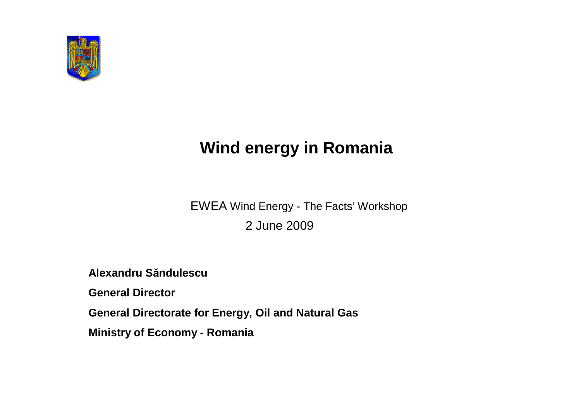

# **Wind energy in Romania**

EWEA Wind Energy - The Facts'Workshop 2 June 2009

**Alexandru Săndulescu**

**General Director**

**General Directorate for Energy, Oil and Natural Gas**

**Ministry of Economy - Romania**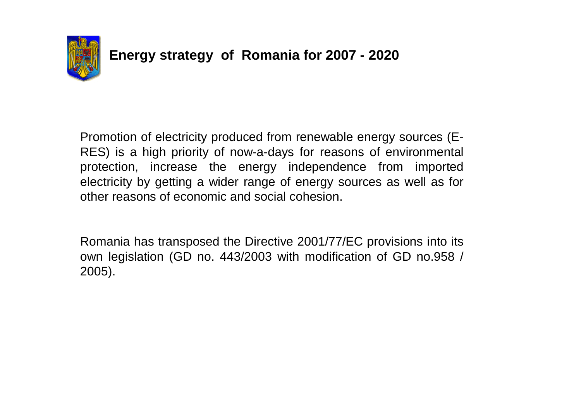

Promotion of electricity produced from renewable energy sources (E-RES) is a high priority of now-a-days for reasons of environmental protection, increase the energy independence from imported electricity by getting a wider range of energy sources as well as for other reasons of economic and social cohesion.

Romania has transposed the Directive 2001/77/EC provisions into its own legislation (GD no. 443/2003 with modification of GD no.958 / 2005).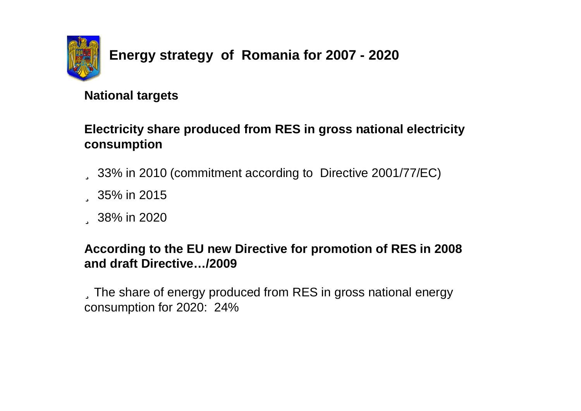

#### **National targets**

#### **Electricity share produced from RES in gross national electricity consumption**

ü 33% in 2010 (commitment according to Directive 2001/77/EC)

ü 35% in 2015

ü 38% in 2020

#### **According to the EU new Directive for promotion of RES in 2008 and draft Directive… /2009**

üThe share of energy produced from RES in gross national energy consumption for 2020: 24%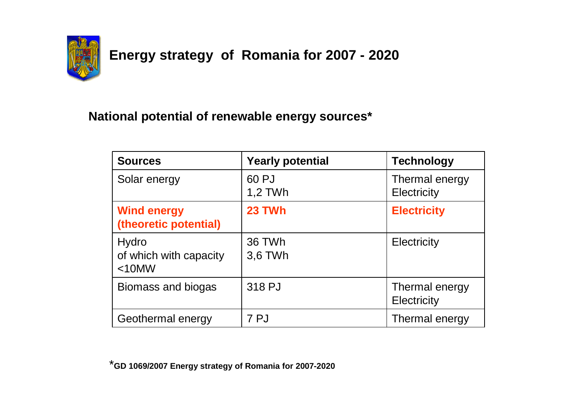

#### **National potential of renewable energy sources\***

| <b>Sources</b>                              | <b>Yearly potential</b> | <b>Technology</b>                    |
|---------------------------------------------|-------------------------|--------------------------------------|
| Solar energy                                | 60 PJ<br>1,2 TWh        | Thermal energy<br>Electricity        |
| <b>Wind energy</b><br>(theoretic potential) | <b>23 TWh</b>           | <b>Electricity</b>                   |
| Hydro<br>of which with capacity<br>$<$ 10MW | 36 TWh<br>3,6 TWh       | Electricity                          |
| Biomass and biogas                          | 318 PJ                  | Thermal energy<br><b>Electricity</b> |
| Geothermal energy                           | 7PJ                     | Thermal energy                       |

\***GD 1069/2007 Energy strategy of Romania for 2007-2020**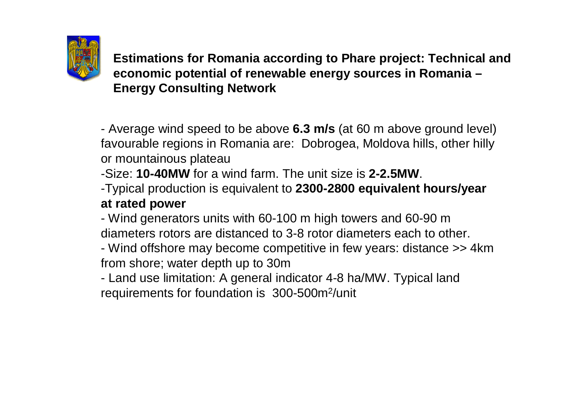

**Estimations for Romania according to Phare project: Technical and economic potential of renewable energy sources in Romania – Energy Consulting Network**

- Average wind speed to be above **6.3 m/s** (at 60 m above ground level) favourable regions in Romania are: Dobrogea, Moldova hills, other hilly or mountainous plateau

-Size: **10-40MW** for a wind farm. The unit size is **2-2.5MW**.

-Typical production is equivalent to **2300-2800 equivalent hours/year at rated power**

- Wind generators units with 60-100 m high towers and 60-90 m diameters rotors are distanced to 3-8 rotor diameters each to other.

- Wind offshore may become competitive in few years: distance >> 4km from shore; water depth up to 30m

- Land use limitation: A general indicator 4-8 ha/MW. Typical land requirements for foundation is 300-500m<sup>2</sup>/unit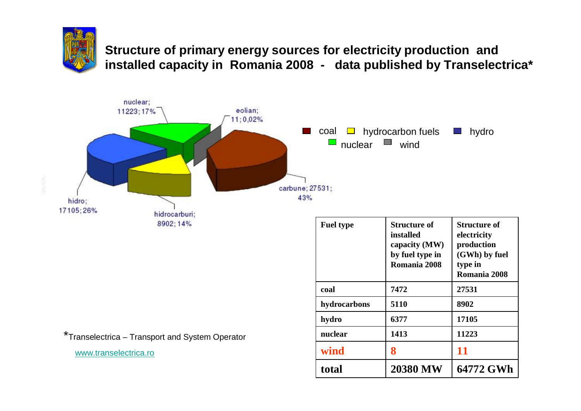

**Structure of primary energy sources for electricity production and installed capacity in Romania 2008 - data published by Transelectrica\***



\*Transelectrica –Transport and System Operator

[www.transelectrica.ro](http://www.transelectrica.ro)

| <b>Fuel type</b> | Structure of<br>installed<br>capacity (MW)<br>by fuel type in<br>Romania 2008 | <b>Structure of</b><br>electricity<br>production<br>(GWh) by fuel<br>type in<br>Romania 2008 |
|------------------|-------------------------------------------------------------------------------|----------------------------------------------------------------------------------------------|
| coal             | 7472                                                                          | 27531                                                                                        |
| hydrocarbons     | 5110                                                                          | 8902                                                                                         |
| hydro            | 6377                                                                          | 17105                                                                                        |
| nuclear          | 1413                                                                          | 11223                                                                                        |
| wind             | 8                                                                             | 11                                                                                           |
| total            | <b>20380 MW</b>                                                               | 64772 GWh                                                                                    |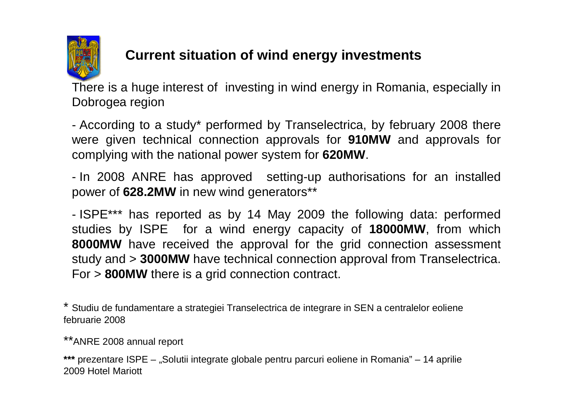

# **Current situation of wind energy investments**

There is a huge interest of investing in wind energy in Romania, especially in Dobrogea region

- According to a study\* performed by Transelectrica, by february 2008 there were given technical connection approvals for **910MW** and approvals for complying with the national power system for **620MW**.

- In 2008 ANRE has approved setting-up authorisations for an installed power of **628.2MW** in new wind generators\*\*

- ISPE\*\*\* has reported as by 14 May 2009 the following data: performed studies by ISPE for a wind energy capacity of **18000MW**, from which **8000MW** have received the approval for the grid connection assessment study and > **3000MW** have technical connection approval from Transelectrica. For > **800MW** there is a grid connection contract.

\* Studiu de fundamentare a strategiei Transelectrica de integrare in SEN a centralelor eoliene februarie 2008

\*\*ANRE 2008 annual report

\*\*\* prezentare ISPE – "Solutii integrate globale pentru parcuri eoliene in Romania" – 14 aprilie 2009 Hotel Mariott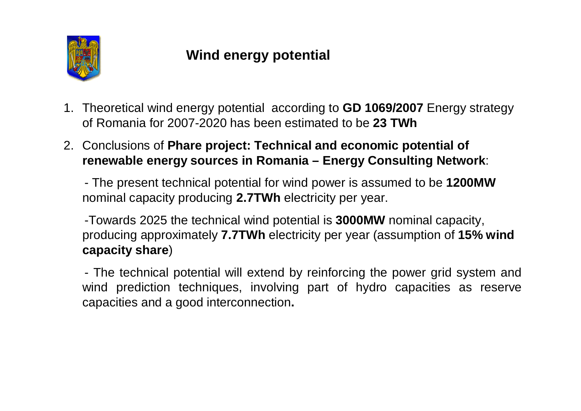

# **Wind energy potential**

- 1. Theoretical wind energy potential according to **GD 1069/2007** Energy strategy of Romania for 2007-2020 has been estimated to be **23 TWh**
- 2. Conclusions of **Phare project: Technical and economic potential of renewable energy sources in Romania –Energy Consulting Network**:

- The present technical potential for wind power is assumed to be **1200MW** nominal capacity producing **2.7TWh** electricity per year.

-Towards 2025 the technical wind potential is **3000MW** nominal capacity, producing approximately **7.7TWh** electricity per year (assumption of **15% wind capacity share**)

- The technical potential will extend by reinforcing the power grid system and wind prediction techniques, involving part of hydro capacities as reserve capacities and a good interconnection**.**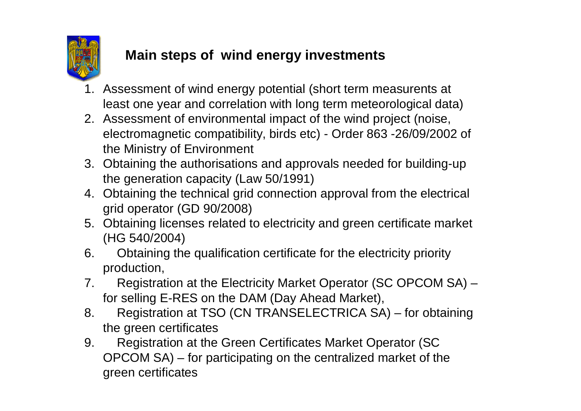

# **Main steps of wind energy investments**

- 1. Assessment of wind energy potential (short term measurents at least one year and correlation with long term meteorological data)
- 2. Assessment of environmental impact of the wind project (noise, electromagnetic compatibility, birds etc) - Order 863 -26/09/2002 of the Ministry of Environment
- 3. Obtaining the authorisations and approvals needed for building-up the generation capacity (Law 50/1991)
- 4. Obtaining the technical grid connection approval from the electrical grid operator (GD 90/2008)
- 5. Obtaining licenses related to electricity and green certificate market (HG 540/2004)
- 6. Obtaining the qualification certificate for the electricity priority production,
- 7. Registration at the Electricity Market Operator (SC OPCOM SA) for selling E-RES on the DAM (Day Ahead Market),
- 8. Registration at TSO (CN TRANSELECTRICA SA) for obtaining the green certificates
- 9. Registration at the Green Certificates Market Operator (SC OPCOM SA) – for participating on the centralized market of the green certificates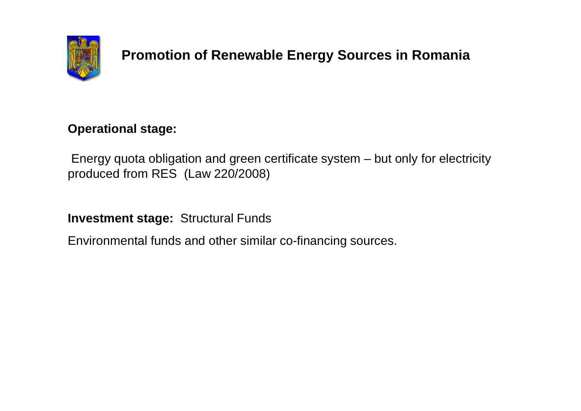

# **Promotion of Renewable Energy Sources in Romania**

#### **Operational stage:**

Energy quota obligation and green certificate system – but only for electricity produced from RES (Law 220/2008)

**Investment stage:** Structural Funds

Environmental funds and other similar co-financing sources.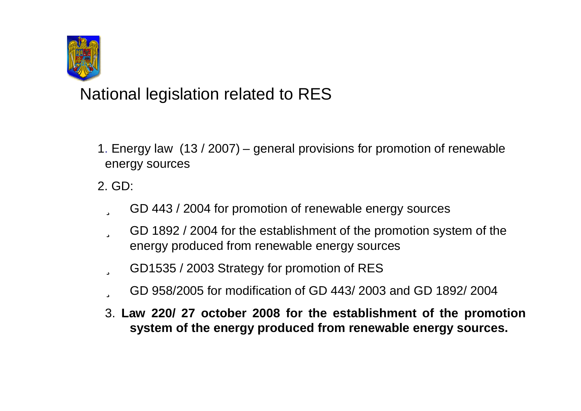

National legislation related to RES

1. Energy law (13 / 2007) – general provisions for promotion of renewable energy sources

2. GD:

- ü GD 443 / 2004 for promotion of renewable energy sources
- ü GD 1892 / 2004 for the establishment of the promotion system of the energy produced from renewable energy sources
- ü GD1535 / 2003 Strategy for promotion of RES
- ü GD 958/2005 for modification of GD 443/ 2003 and GD 1892/ 2004
- 3. **Law 220/ 27 october 2008 for the establishment of the promotion system of the energy produced from renewable energy sources.**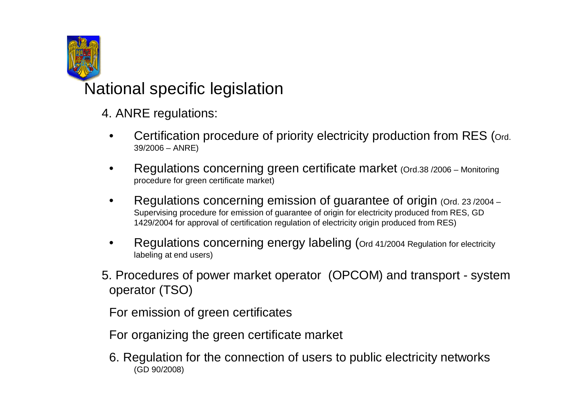

National specific legislation

- 4. ANRE regulations:
	- Certification procedure of priority electricity production from RES (ord. 39/2006 –ANRE)
	- Regulations concerning green certificate market (Ord.38 /2006 Monitoring procedure for green certificate market)
	- Regulations concerning emission of guarantee of origin (Ord. 23/2004 Supervising procedure for emission of guarantee of origin for electricity produced from RES, GD 1429/2004 for approval of certification regulation of electricity origin produced from RES)
	- Regulations concerning energy labeling (Ord 41/2004 Regulation for electricity labeling at end users)
- 5. Procedures of power market operator (OPCOM) and transport system operator (TSO)

For emission of green certificates

For organizing the green certificate market

6. Regulation for the connection of users to public electricity networks (GD 90/2008)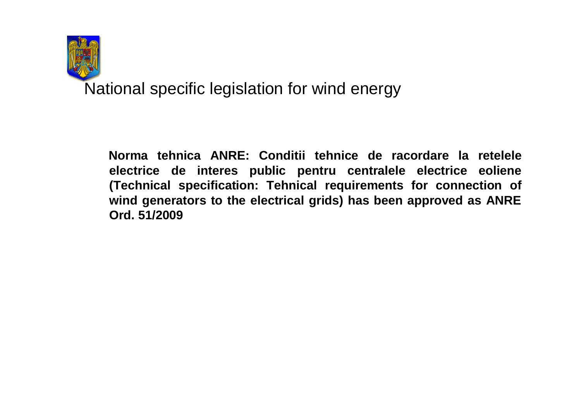

National specific legislation for wind energy

**Norma tehnica ANRE: Conditii tehnice de racordare la retelele electrice de interes public pentru centralele electrice eoliene (Technical specification: Tehnical requirements for connection of wind generators to the electrical grids) has been approved as ANRE Ord. 51/2009**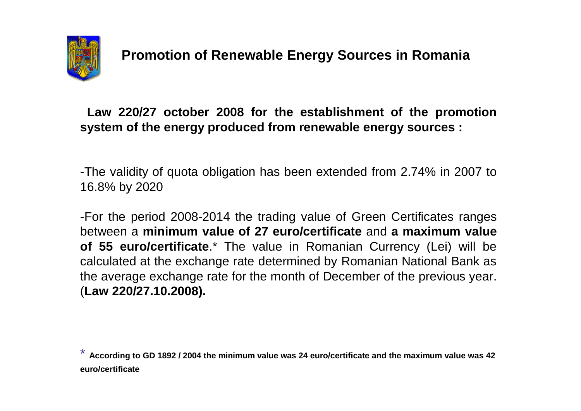

**Law 220/27 october 2008 for the establishment of the promotion system of the energy produced from renewable energy sources :**

-The validity of quota obligation has been extended from 2.74% in 2007 to 16.8% by 2020

-For the period 2008-2014 the trading value of Green Certificates ranges between a **minimum value of 27 euro/certificate** and **a maximum value of 55 euro/certificate**.\* The value in Romanian Currency (Lei) will be calculated at the exchange rate determined by Romanian National Bank as the average exchange rate for the month of December of the previous year. (**Law 220/27.10.2008).**

\* **According to GD 1892 / 2004 the minimum value was 24 euro/certificate and the maximum value was 42 euro/certificate**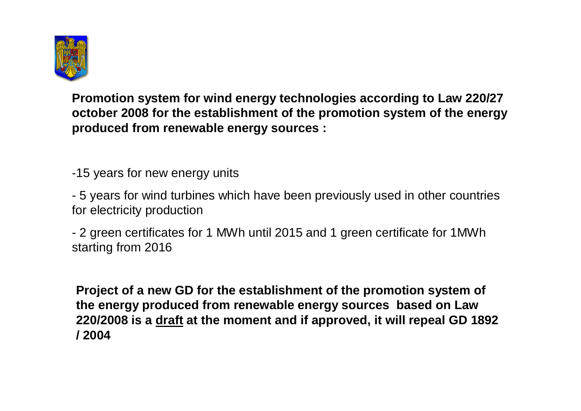

**Promotion system for wind energy technologies according to Law 220/27 october 2008 for the establishment of the promotion system of the energy produced from renewable energy sources :**

-15 years for new energy units

- 5 years for wind turbines which have been previously used in other countries for electricity production

- 2 green certificates for 1 MWh until 2015 and 1 green certificate for 1MWh starting from 2016

**Project of a new GD for the establishment of the promotion system of the energy produced from renewable energy sources based on Law 220/2008 is a draft at the moment and if approved, it will repeal GD 1892 / 2004**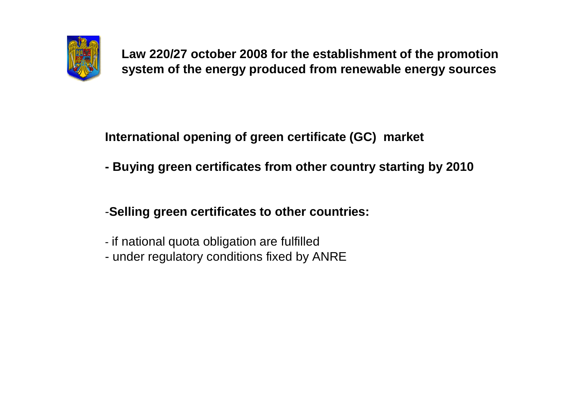

**Law 220/27 october 2008 for the establishment of the promotion system of the energy produced from renewable energy sources**

**International opening of green certificate (GC) market**

**- Buying green certificates from other country starting by 2010**

-**Selling green certificates to other countries:**

- if national quota obligation are fulfilled
- under regulatory conditions fixed by ANRE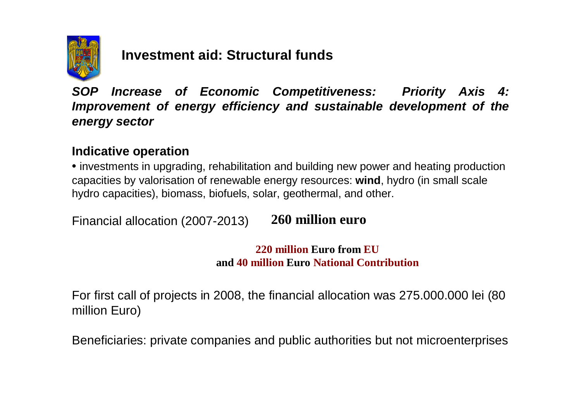

## **Investment aid: Structural funds**

*SOP Increase of Economic Competitiveness: Priority Axis 4: Improvement of energy efficiency and sustainable development of the energy sector*

#### **Indicative operation**

• investments in upgrading, rehabilitation and building new power and heating production capacities by valorisation of renewable energy resources: **wind**, hydro (in small scale hydro capacities), biomass, biofuels, solar, geothermal, and other. **Aproximativ**

Financial allocation (2007-2013) **260 million euro**

> **220 million Euro from EU and 40 million Euro National Contribution**

For first call of projects in 2008, the financial allocation was 275.000.000 lei (80 million Euro)

Beneficiaries: private companies and public authorities but not microenterprises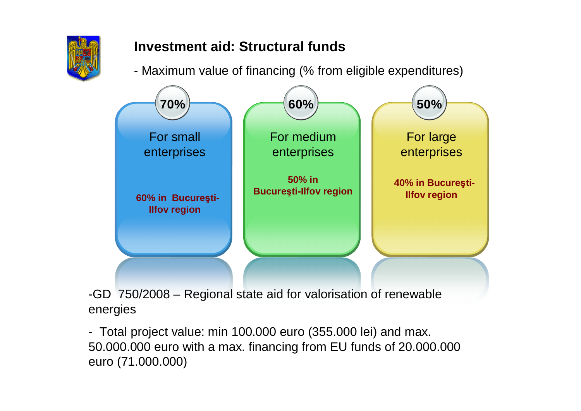

# **Investment aid: Structural funds**

- Maximum value of financing (% from eligible expenditures)



-GD 750/2008 –Regional state aid for valorisation of renewable energies

- Total project value: min 100.000 euro (355.000 lei) and max. 50.000.000 euro with a max. financing from EU funds of 20.000.000 euro (71.000.000)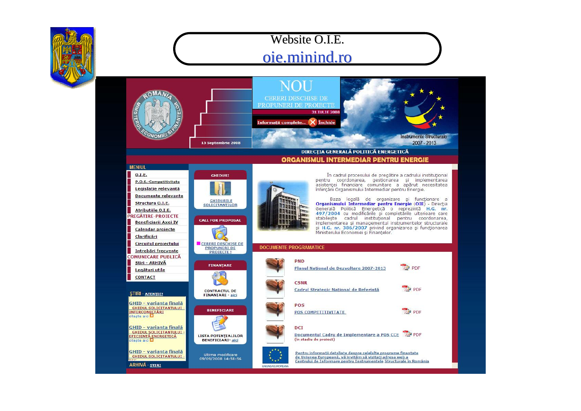

### Website O.I.E. oie.minind.ro

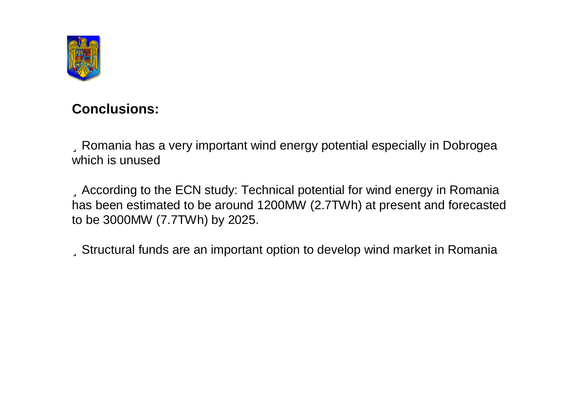

#### **Conclusions:**

üRomania has a very important wind energy potential especially in Dobrogea which is unused

üAccording to the ECN study: Technical potential for wind energy in Romania has been estimated to be around 1200MW (2.7TWh) at present and forecasted to be 3000MW (7.7TWh) by 2025.

üStructural funds are an important option to develop wind market in Romania